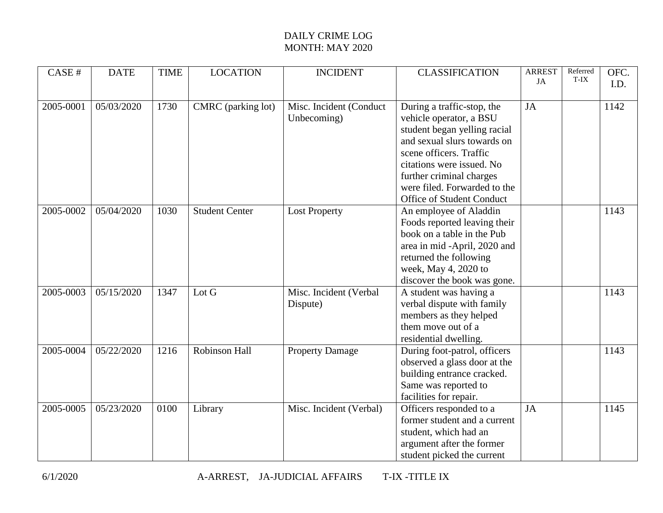## DAILY CRIME LOG MONTH: MAY 2020

| CASE#     | <b>DATE</b> | <b>TIME</b> | <b>LOCATION</b>        | <b>INCIDENT</b>         | <b>CLASSIFICATION</b>        | <b>ARREST</b><br>JA | Referred<br>T-IX | OFC. |
|-----------|-------------|-------------|------------------------|-------------------------|------------------------------|---------------------|------------------|------|
|           |             |             |                        |                         |                              |                     |                  | I.D. |
| 2005-0001 | 05/03/2020  | 1730        | CMRC (parking lot)     | Misc. Incident (Conduct | During a traffic-stop, the   | JA                  |                  | 1142 |
|           |             |             |                        | Unbecoming)             | vehicle operator, a BSU      |                     |                  |      |
|           |             |             |                        |                         | student began yelling racial |                     |                  |      |
|           |             |             |                        |                         | and sexual slurs towards on  |                     |                  |      |
|           |             |             |                        |                         | scene officers. Traffic      |                     |                  |      |
|           |             |             |                        |                         | citations were issued. No    |                     |                  |      |
|           |             |             |                        |                         | further criminal charges     |                     |                  |      |
|           |             |             |                        |                         | were filed. Forwarded to the |                     |                  |      |
|           |             |             |                        |                         | Office of Student Conduct    |                     |                  |      |
| 2005-0002 | 05/04/2020  | 1030        | <b>Student Center</b>  | <b>Lost Property</b>    | An employee of Aladdin       |                     |                  | 1143 |
|           |             |             |                        |                         | Foods reported leaving their |                     |                  |      |
|           |             |             |                        |                         | book on a table in the Pub   |                     |                  |      |
|           |             |             |                        |                         | area in mid -April, 2020 and |                     |                  |      |
|           |             |             |                        |                         | returned the following       |                     |                  |      |
|           |             |             |                        |                         | week, May 4, 2020 to         |                     |                  |      |
|           |             |             |                        |                         | discover the book was gone.  |                     |                  |      |
| 2005-0003 | 05/15/2020  | 1347        | $\operatorname{Lot} G$ | Misc. Incident (Verbal  | A student was having a       |                     |                  | 1143 |
|           |             |             |                        | Dispute)                | verbal dispute with family   |                     |                  |      |
|           |             |             |                        |                         | members as they helped       |                     |                  |      |
|           |             |             |                        |                         | them move out of a           |                     |                  |      |
|           |             |             |                        |                         | residential dwelling.        |                     |                  |      |
| 2005-0004 | 05/22/2020  | 1216        | Robinson Hall          | <b>Property Damage</b>  | During foot-patrol, officers |                     |                  | 1143 |
|           |             |             |                        |                         | observed a glass door at the |                     |                  |      |
|           |             |             |                        |                         | building entrance cracked.   |                     |                  |      |
|           |             |             |                        |                         | Same was reported to         |                     |                  |      |
|           |             |             |                        |                         | facilities for repair.       |                     |                  |      |
| 2005-0005 | 05/23/2020  | 0100        | Library                | Misc. Incident (Verbal) | Officers responded to a      | JA                  |                  | 1145 |
|           |             |             |                        |                         | former student and a current |                     |                  |      |
|           |             |             |                        |                         | student, which had an        |                     |                  |      |
|           |             |             |                        |                         | argument after the former    |                     |                  |      |
|           |             |             |                        |                         | student picked the current   |                     |                  |      |